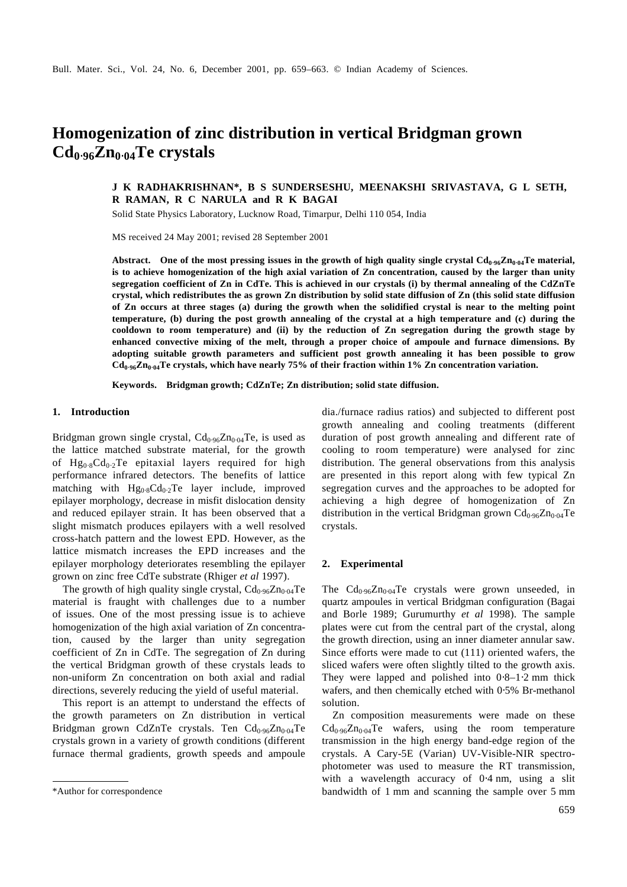# **Homogenization of zinc distribution in vertical Bridgman grown Cd0**⋅**96Zn0**⋅**04Te crystals**

## **J K RADHAKRISHNAN\*, B S SUNDERSESHU, MEENAKSHI SRIVASTAVA, G L SETH, R RAMAN, R C NARULA and R K BAGAI**

Solid State Physics Laboratory, Lucknow Road, Timarpur, Delhi 110 054, India

MS received 24 May 2001; revised 28 September 2001

**Abstract. One of the most pressing issues in the growth of high quality single crystal Cd0**⋅**96Zn0**⋅**04Te material, is to achieve homogenization of the high axial variation of Zn concentration, caused by the larger than unity segregation coefficient of Zn in CdTe. This is achieved in our crystals (i) by thermal annealing of the CdZnTe crystal, which redistributes the as grown Zn distribution by solid state diffusion of Zn (this solid state diffusion of Zn occurs at three stages (a) during the growth when the solidified crystal is near to the melting point temperature, (b) during the post growth annealing of the crystal at a high temperature and (c) during the cooldown to room temperature) and (ii) by the reduction of Zn segregation during the growth stage by enhanced convective mixing of the melt, through a proper choice of ampoule and furnace dimensions. By adopting suitable growth parameters and sufficient post growth annealing it has been possible to grow Cd0**⋅**96Zn0**⋅**04Te crystals, which have nearly 75% of their fraction within 1% Zn concentration variation.**

**Keywords. Bridgman growth; CdZnTe; Zn distribution; solid state diffusion.**

## **1. Introduction**

Bridgman grown single crystal,  $Cd_{0.96}Zn_{0.04}Te$ , is used as the lattice matched substrate material, for the growth of  $Hg_{0.8}Cd_{0.2}Te$  epitaxial layers required for high performance infrared detectors. The benefits of lattice matching with  $Hg_{0.8}Cd_{0.2}Te$  layer include, improved epilayer morphology, decrease in misfit dislocation density and reduced epilayer strain. It has been observed that a slight mismatch produces epilayers with a well resolved cross-hatch pattern and the lowest EPD. However, as the lattice mismatch increases the EPD increases and the epilayer morphology deteriorates resembling the epilayer grown on zinc free CdTe substrate (Rhiger *et al* 1997).

The growth of high quality single crystal,  $Cd_{0.96}Zn_{0.04}Te$ material is fraught with challenges due to a number of issues. One of the most pressing issue is to achieve homogenization of the high axial variation of Zn concentration, caused by the larger than unity segregation coefficient of Zn in CdTe. The segregation of Zn during the vertical Bridgman growth of these crystals leads to non-uniform Zn concentration on both axial and radial directions, severely reducing the yield of useful material.

This report is an attempt to understand the effects of the growth parameters on Zn distribution in vertical Bridgman grown CdZnTe crystals. Ten Cd<sub>0⋅96</sub>Zn<sub>0⋅04</sub>Te crystals grown in a variety of growth conditions (different furnace thermal gradients, growth speeds and ampoule dia./furnace radius ratios) and subjected to different post growth annealing and cooling treatments (different duration of post growth annealing and different rate of cooling to room temperature) were analysed for zinc distribution. The general observations from this analysis are presented in this report along with few typical Zn segregation curves and the approaches to be adopted for achieving a high degree of homogenization of Zn distribution in the vertical Bridgman grown  $Cd_{0.96}Zn_{0.04}Te$ crystals.

#### **2. Experimental**

The  $Cd_{0.96}Zn_{0.04}Te$  crystals were grown unseeded, in quartz ampoules in vertical Bridgman configuration (Bagai and Borle 1989; Gurumurthy *et al* 1998). The sample plates were cut from the central part of the crystal, along the growth direction, using an inner diameter annular saw. Since efforts were made to cut (111) oriented wafers, the sliced wafers were often slightly tilted to the growth axis. They were lapped and polished into 0⋅8–1⋅2 mm thick wafers, and then chemically etched with 0.5% Br-methanol solution.

Zn composition measurements were made on these  $Cd_{0.96}Zn_{0.04}Te$  wafers, using the room temperature transmission in the high energy band-edge region of the crystals. A Cary-5E (Varian) UV-Visible-NIR spectrophotometer was used to measure the RT transmission, with a wavelength accuracy of 0⋅4 nm, using a slit \*Author for correspondence bandwidth of 1 mm and scanning the sample over 5 mm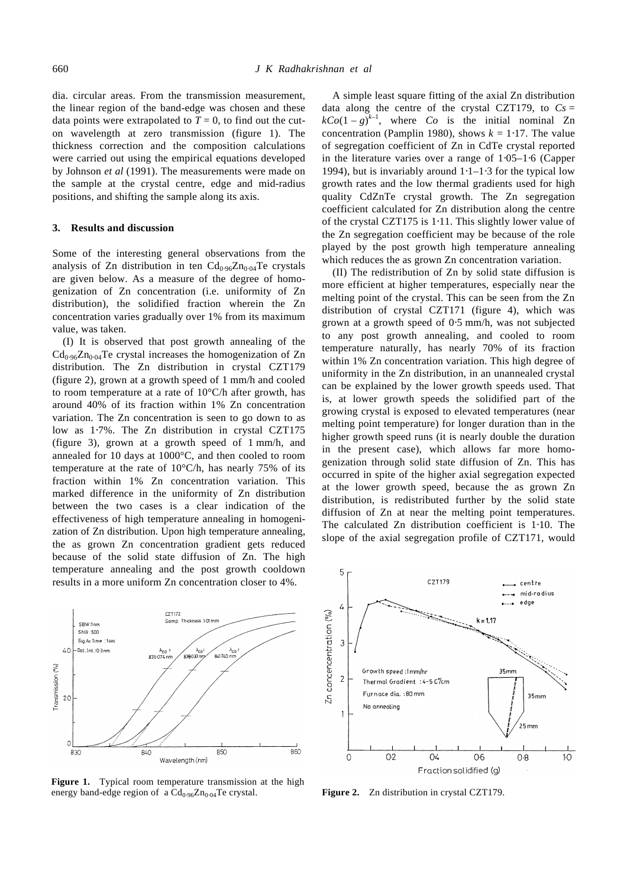dia. circular areas. From the transmission measurement, the linear region of the band-edge was chosen and these data points were extrapolated to  $T = 0$ , to find out the cuton wavelength at zero transmission (figure 1). The thickness correction and the composition calculations were carried out using the empirical equations developed by Johnson *et al* (1991). The measurements were made on the sample at the crystal centre, edge and mid-radius positions, and shifting the sample along its axis.

## **3. Results and discussion**

Some of the interesting general observations from the analysis of Zn distribution in ten  $Cd_{0.96}Zn_{0.04}Te$  crystals are given below. As a measure of the degree of homogenization of Zn concentration (i.e. uniformity of Zn distribution), the solidified fraction wherein the Zn concentration varies gradually over 1% from its maximum value, was taken.

(I) It is observed that post growth annealing of the  $Cd_{0.96}Zn_{0.04}Te$  crystal increases the homogenization of Zn distribution. The Zn distribution in crystal CZT179 (figure 2), grown at a growth speed of 1 mm/h and cooled to room temperature at a rate of 10°C/h after growth, has around 40% of its fraction within 1% Zn concentration variation. The Zn concentration is seen to go down to as low as 1⋅7%. The Zn distribution in crystal CZT175 (figure 3), grown at a growth speed of 1 mm/h, and annealed for 10 days at 1000°C, and then cooled to room temperature at the rate of  $10^{\circ}$ C/h, has nearly 75% of its fraction within 1% Zn concentration variation. This marked difference in the uniformity of Zn distribution between the two cases is a clear indication of the effectiveness of high temperature annealing in homogenization of Zn distribution. Upon high temperature annealing, the as grown Zn concentration gradient gets reduced because of the solid state diffusion of Zn. The high temperature annealing and the post growth cooldown results in a more uniform Zn concentration closer to 4%.



Figure 1. Typical room temperature transmission at the high energy band-edge region of a Cd<sub>0⋅96</sub>Zn<sub>0⋅04</sub>Te crystal. **Figure 2.** Zn distribution in crystal CZT179.

A simple least square fitting of the axial Zn distribution data along the centre of the crystal CZT179, to  $Cs =$  $kCo(1-g)^{k-1}$ , where *Co* is the initial nominal Zn concentration (Pamplin 1980), shows  $k = 1.17$ . The value of segregation coefficient of Zn in CdTe crystal reported in the literature varies over a range of 1⋅05–1⋅6 (Capper 1994), but is invariably around 1⋅1–1⋅3 for the typical low growth rates and the low thermal gradients used for high quality CdZnTe crystal growth. The Zn segregation coefficient calculated for Zn distribution along the centre of the crystal CZT175 is 1⋅11. This slightly lower value of the Zn segregation coefficient may be because of the role played by the post growth high temperature annealing which reduces the as grown Zn concentration variation.

(II) The redistribution of Zn by solid state diffusion is more efficient at higher temperatures, especially near the melting point of the crystal. This can be seen from the Zn distribution of crystal CZT171 (figure 4), which was grown at a growth speed of 0⋅5 mm/h, was not subjected to any post growth annealing, and cooled to room temperature naturally, has nearly 70% of its fraction within 1% Zn concentration variation. This high degree of uniformity in the Zn distribution, in an unannealed crystal can be explained by the lower growth speeds used. That is, at lower growth speeds the solidified part of the growing crystal is exposed to elevated temperatures (near melting point temperature) for longer duration than in the higher growth speed runs (it is nearly double the duration in the present case), which allows far more homogenization through solid state diffusion of Zn. This has occurred in spite of the higher axial segregation expected at the lower growth speed, because the as grown Zn distribution, is redistributed further by the solid state diffusion of Zn at near the melting point temperatures. The calculated Zn distribution coefficient is 1⋅10. The slope of the axial segregation profile of CZT171, would

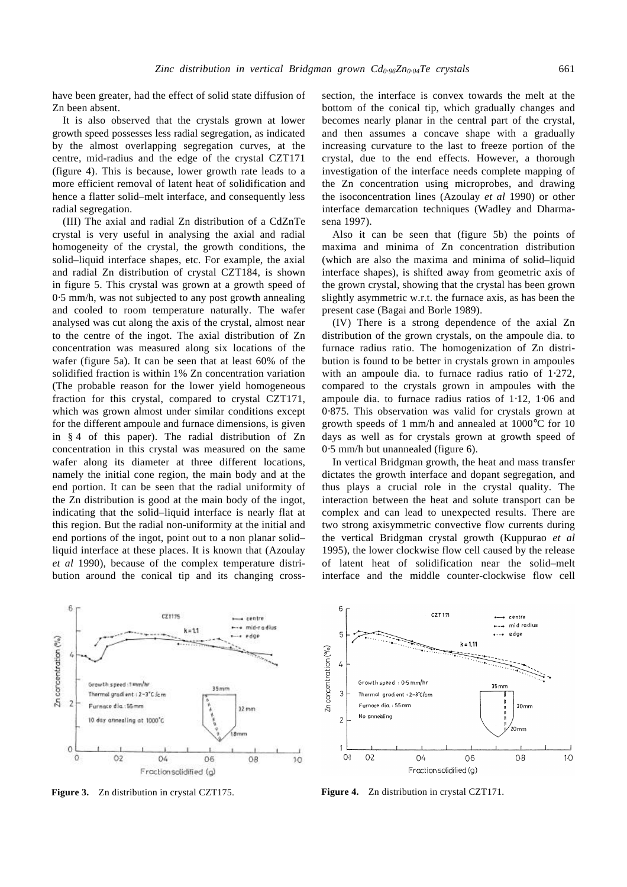have been greater, had the effect of solid state diffusion of Zn been absent.

It is also observed that the crystals grown at lower growth speed possesses less radial segregation, as indicated by the almost overlapping segregation curves, at the centre, mid-radius and the edge of the crystal CZT171 (figure 4). This is because, lower growth rate leads to a more efficient removal of latent heat of solidification and hence a flatter solid–melt interface, and consequently less radial segregation.

(III) The axial and radial Zn distribution of a CdZnTe crystal is very useful in analysing the axial and radial homogeneity of the crystal, the growth conditions, the solid–liquid interface shapes, etc. For example, the axial and radial Zn distribution of crystal CZT184, is shown in figure 5. This crystal was grown at a growth speed of 0⋅5 mm/h, was not subjected to any post growth annealing and cooled to room temperature naturally. The wafer analysed was cut along the axis of the crystal, almost near to the centre of the ingot. The axial distribution of Zn concentration was measured along six locations of the wafer (figure 5a). It can be seen that at least 60% of the solidified fraction is within 1% Zn concentration variation (The probable reason for the lower yield homogeneous fraction for this crystal, compared to crystal CZT171, which was grown almost under similar conditions except for the different ampoule and furnace dimensions, is given in § 4 of this paper). The radial distribution of Zn concentration in this crystal was measured on the same wafer along its diameter at three different locations, namely the initial cone region, the main body and at the end portion. It can be seen that the radial uniformity of the Zn distribution is good at the main body of the ingot, indicating that the solid–liquid interface is nearly flat at this region. But the radial non-uniformity at the initial and end portions of the ingot, point out to a non planar solid– liquid interface at these places. It is known that (Azoulay *et al* 1990), because of the complex temperature distribution around the conical tip and its changing cross-

6  $CZ1175$ centre mid-radius  $k = 11$ edge Zn concentration (%) Growth speed tmm/h  $35<sub>min</sub>$ Thermal gradient: 2-3°C /cm  $\overline{2}$ urnace dia : 55 mm  $32 \, \text{mm}$ annealing at 1000°C  $\circ$  $\overline{O}$  $O<sub>2</sub>$ 04 06  $08$  $10$ 

Fractionsolidified (g)

**Figure 3.** Zn distribution in crystal CZT175. **Figure 4.** Zn distribution in crystal CZT171.



Also it can be seen that (figure 5b) the points of maxima and minima of Zn concentration distribution (which are also the maxima and minima of solid–liquid interface shapes), is shifted away from geometric axis of the grown crystal, showing that the crystal has been grown slightly asymmetric w.r.t. the furnace axis, as has been the present case (Bagai and Borle 1989).

(IV) There is a strong dependence of the axial Zn distribution of the grown crystals, on the ampoule dia. to furnace radius ratio. The homogenization of Zn distribution is found to be better in crystals grown in ampoules with an ampoule dia. to furnace radius ratio of 1⋅272, compared to the crystals grown in ampoules with the ampoule dia. to furnace radius ratios of 1⋅12, 1⋅06 and 0⋅875. This observation was valid for crystals grown at growth speeds of 1 mm/h and annealed at 1000°C for 10 days as well as for crystals grown at growth speed of 0⋅5 mm/h but unannealed (figure 6).

In vertical Bridgman growth, the heat and mass transfer dictates the growth interface and dopant segregation, and thus plays a crucial role in the crystal quality. The interaction between the heat and solute transport can be complex and can lead to unexpected results. There are two strong axisymmetric convective flow currents during the vertical Bridgman crystal growth (Kuppurao *et al* 1995), the lower clockwise flow cell caused by the release of latent heat of solidification near the solid–melt interface and the middle counter-clockwise flow cell

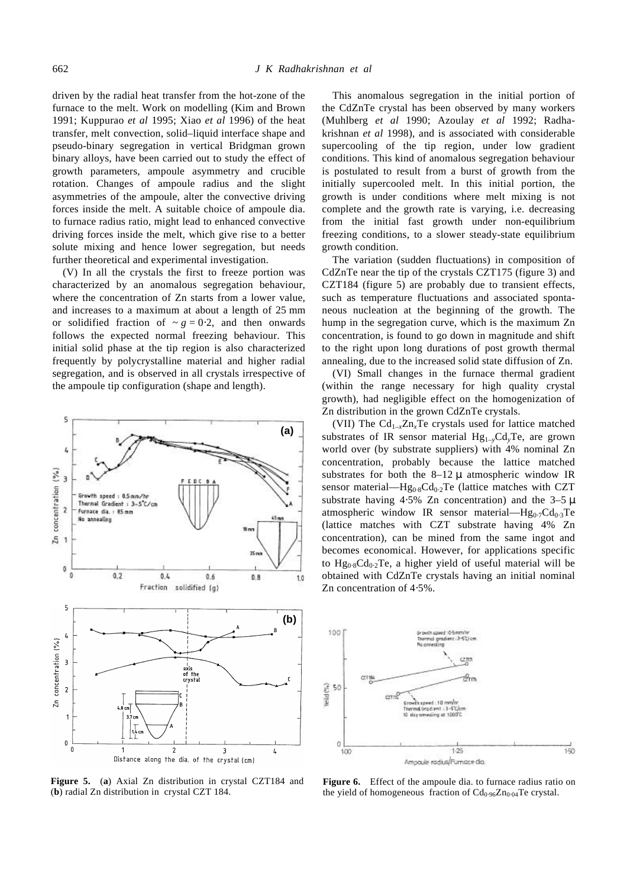driven by the radial heat transfer from the hot-zone of the furnace to the melt. Work on modelling (Kim and Brown 1991; Kuppurao *et al* 1995; Xiao *et al* 1996) of the heat transfer, melt convection, solid–liquid interface shape and pseudo-binary segregation in vertical Bridgman grown binary alloys, have been carried out to study the effect of growth parameters, ampoule asymmetry and crucible rotation. Changes of ampoule radius and the slight asymmetries of the ampoule, alter the convective driving forces inside the melt. A suitable choice of ampoule dia. to furnace radius ratio, might lead to enhanced convective driving forces inside the melt, which give rise to a better solute mixing and hence lower segregation, but needs further theoretical and experimental investigation.

(V) In all the crystals the first to freeze portion was characterized by an anomalous segregation behaviour, where the concentration of Zn starts from a lower value, and increases to a maximum at about a length of 25 mm or solidified fraction of  $\sim$  *g* = 0⋅2, and then onwards follows the expected normal freezing behaviour. This initial solid phase at the tip region is also characterized frequently by polycrystalline material and higher radial segregation, and is observed in all crystals irrespective of the ampoule tip configuration (shape and length).



**Figure 5.** (**a**) Axial Zn distribution in crystal CZT184 and (**b**) radial Zn distribution in crystal CZT 184.

This anomalous segregation in the initial portion of the CdZnTe crystal has been observed by many workers (Muhlberg *et al* 1990; Azoulay *et al* 1992; Radhakrishnan *et al* 1998), and is associated with considerable supercooling of the tip region, under low gradient conditions. This kind of anomalous segregation behaviour is postulated to result from a burst of growth from the initially supercooled melt. In this initial portion, the growth is under conditions where melt mixing is not complete and the growth rate is varying, i.e. decreasing from the initial fast growth under non-equilibrium freezing conditions, to a slower steady-state equilibrium growth condition.

The variation (sudden fluctuations) in composition of CdZnTe near the tip of the crystals CZT175 (figure 3) and CZT184 (figure 5) are probably due to transient effects, such as temperature fluctuations and associated spontaneous nucleation at the beginning of the growth. The hump in the segregation curve, which is the maximum Zn concentration, is found to go down in magnitude and shift to the right upon long durations of post growth thermal annealing, due to the increased solid state diffusion of Zn.

(VI) Small changes in the furnace thermal gradient (within the range necessary for high quality crystal growth), had negligible effect on the homogenization of Zn distribution in the grown CdZnTe crystals.

(VII) The  $Cd_{1-x}Zn_xTe$  crystals used for lattice matched substrates of IR sensor material  $Hg_{1-y}Cd_yTe$ , are grown world over (by substrate suppliers) with 4% nominal Zn concentration, probably because the lattice matched substrates for both the  $8-12 \mu$  atmospheric window IR sensor material—Hg<sub>0⋅8</sub>Cd<sub>0⋅2</sub>Te (lattice matches with CZT substrate having 4⋅5% Zn concentration) and the  $3-5 \mu$ atmospheric window IR sensor material—Hg<sub>0⋅7</sub>Cd<sub>0⋅3</sub>Te (lattice matches with CZT substrate having 4% Zn concentration), can be mined from the same ingot and becomes economical. However, for applications specific to  $Hg_{0.8}Cd_{0.2}Te$ , a higher yield of useful material will be obtained with CdZnTe crystals having an initial nominal Zn concentration of 4⋅5%.



**Figure 6.** Effect of the ampoule dia. to furnace radius ratio on the yield of homogeneous fraction of  $Cd_{0.96}Zn_{0.04}Te$  crystal.